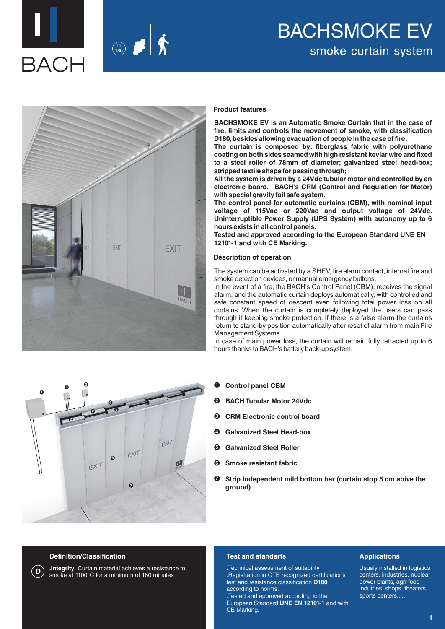



# BACHSMOKE EV smoke curtain system



#### **Product features**

**BACHSMOKE EV is an Automatic Smoke Curtain that in the case of fire, limits and controls the movement of smoke, with classification D180, besides allowing evacuation of people in the case of fire.**

**The curtain is composed by: fiberglass fabric with polyurethane coating on both sides seamed with high resistant kevlar wire and fixed to a steel roller of 78mm of diameter; galvanized steel head-box; stripped textile shape for passing through;**

**All the system is driven by a 24Vdc tubular motor and controlled by an electronic board, BACH's CRM (Control and Regulation for Motor) with special gravity fail safe system.** 

**The control panel for automatic curtains (CBM), with nominal input voltage of 115Vac or 220Vac and output voltage of 24Vdc. Uninterruptible Power Supply (UPS System) with autonomy up to 6 hours exists in all control panels.**

**Tested and approved according to the European Standard UNE EN 12101-1 and with CE Marking.**

#### **Description of operation**

The system can be activated by a SHEV, fire alarm contact, internal fire and smoke detection devices, or manual emergency buttons.

In the event of a fire, the BACH's Control Panel (CBM), receives the signal alarm, and the automatic curtain deploys automatically, with controlled and safe constant speed of descent even following total power loss on all curtains. When the curtain is completely deployed the users can pass through it keeping smoke protection. If there is a false alarm the curtains return to stand-by position automatically after reset of alarm from main Fire Management Systems.

In case of main power loss, the curtain will remain fully retracted up to 6 hours thanks to BACH's battery back-up system.

- **Control panel CBM 1**
- **BACH Tubular Motor 24Vdc 2**
- **CRM Electronic control board 3**
- **Galvanized Steel Head-box 4**
- **Galvanized Steel Roller 5**
- **Smoke resistant fabric 6**
- **Strip Independent mild bottom bar (curtain stop 5 cm abive the ground) 7**

#### **Definition/Classification**

**1**

**3**

**2**

**3**

**2**

 $E^{\times 17}$ 

**5**

**4**

**6**

**.Integrity** Curtain material achieves a resistance to **D** smoke at 1100°C for a minimum of 180 minutes

**7**

 $E^{X|T}$ 

 $EXIT$ 

 $\mathbf{m}$ 

#### **Test and standarts**

.Technical assessment of suitability .Registration in CTE recognized certifications test and resistance classification **D180** according to norms:

.Tested and approved according to the European Standard **UNE EN 12101-1** and with CE Marking.

#### **Applications**

Usualy installed in logistics centers, industries, nuclear power plants, agri-food indutries, shops, theaters, sports centers,....

**1**